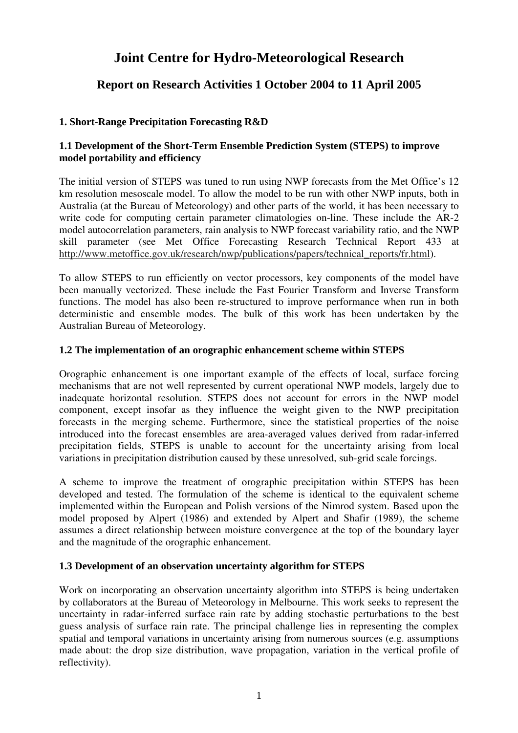# **Joint Centre for Hydro-Meteorological Research**

# **Report on Research Activities 1 October 2004 to 11 April 2005**

# **1. Short-Range Precipitation Forecasting R&D**

# **1.1 Development of the Short-Term Ensemble Prediction System (STEPS) to improve model portability and efficiency**

The initial version of STEPS was tuned to run using NWP forecasts from the Met Office's 12 km resolution mesoscale model. To allow the model to be run with other NWP inputs, both in Australia (at the Bureau of Meteorology) and other parts of the world, it has been necessary to write code for computing certain parameter climatologies on-line. These include the AR-2 model autocorrelation parameters, rain analysis to NWP forecast variability ratio, and the NWP skill parameter (see Met Office Forecasting Research Technical Report 433 at http://www.metoffice.gov.uk/research/nwp/publications/papers/technical\_reports/fr.html).

To allow STEPS to run efficiently on vector processors, key components of the model have been manually vectorized. These include the Fast Fourier Transform and Inverse Transform functions. The model has also been re-structured to improve performance when run in both deterministic and ensemble modes. The bulk of this work has been undertaken by the Australian Bureau of Meteorology.

# **1.2 The implementation of an orographic enhancement scheme within STEPS**

Orographic enhancement is one important example of the effects of local, surface forcing mechanisms that are not well represented by current operational NWP models, largely due to inadequate horizontal resolution. STEPS does not account for errors in the NWP model component, except insofar as they influence the weight given to the NWP precipitation forecasts in the merging scheme. Furthermore, since the statistical properties of the noise introduced into the forecast ensembles are area-averaged values derived from radar-inferred precipitation fields, STEPS is unable to account for the uncertainty arising from local variations in precipitation distribution caused by these unresolved, sub-grid scale forcings.

A scheme to improve the treatment of orographic precipitation within STEPS has been developed and tested. The formulation of the scheme is identical to the equivalent scheme implemented within the European and Polish versions of the Nimrod system. Based upon the model proposed by Alpert (1986) and extended by Alpert and Shafir (1989), the scheme assumes a direct relationship between moisture convergence at the top of the boundary layer and the magnitude of the orographic enhancement.

# **1.3 Development of an observation uncertainty algorithm for STEPS**

Work on incorporating an observation uncertainty algorithm into STEPS is being undertaken by collaborators at the Bureau of Meteorology in Melbourne. This work seeks to represent the uncertainty in radar-inferred surface rain rate by adding stochastic perturbations to the best guess analysis of surface rain rate. The principal challenge lies in representing the complex spatial and temporal variations in uncertainty arising from numerous sources (e.g. assumptions made about: the drop size distribution, wave propagation, variation in the vertical profile of reflectivity).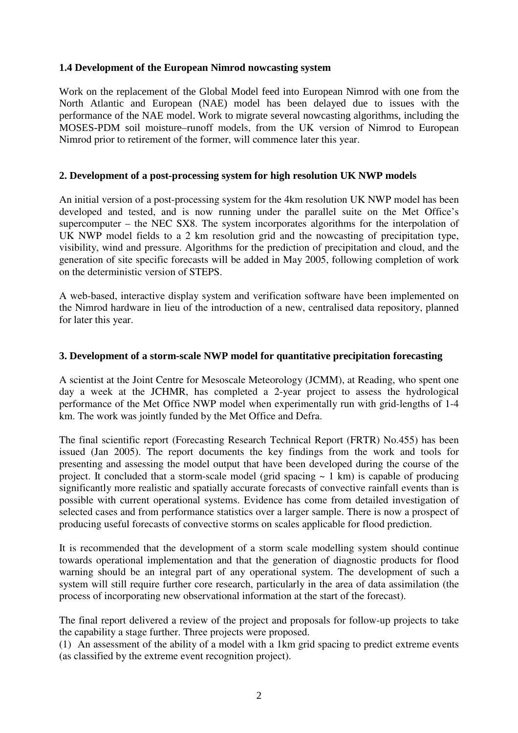## **1.4 Development of the European Nimrod nowcasting system**

Work on the replacement of the Global Model feed into European Nimrod with one from the North Atlantic and European (NAE) model has been delayed due to issues with the performance of the NAE model. Work to migrate several nowcasting algorithms, including the MOSES-PDM soil moisture–runoff models, from the UK version of Nimrod to European Nimrod prior to retirement of the former, will commence later this year.

#### **2. Development of a post-processing system for high resolution UK NWP models**

An initial version of a post-processing system for the 4km resolution UK NWP model has been developed and tested, and is now running under the parallel suite on the Met Office's supercomputer – the NEC SX8. The system incorporates algorithms for the interpolation of UK NWP model fields to a 2 km resolution grid and the nowcasting of precipitation type, visibility, wind and pressure. Algorithms for the prediction of precipitation and cloud, and the generation of site specific forecasts will be added in May 2005, following completion of work on the deterministic version of STEPS.

A web-based, interactive display system and verification software have been implemented on the Nimrod hardware in lieu of the introduction of a new, centralised data repository, planned for later this year.

#### **3. Development of a storm-scale NWP model for quantitative precipitation forecasting**

A scientist at the Joint Centre for Mesoscale Meteorology (JCMM), at Reading, who spent one day a week at the JCHMR, has completed a 2-year project to assess the hydrological performance of the Met Office NWP model when experimentally run with grid-lengths of 1-4 km. The work was jointly funded by the Met Office and Defra.

The final scientific report (Forecasting Research Technical Report (FRTR) No.455) has been issued (Jan 2005). The report documents the key findings from the work and tools for presenting and assessing the model output that have been developed during the course of the project. It concluded that a storm-scale model (grid spacing  $\sim 1$  km) is capable of producing significantly more realistic and spatially accurate forecasts of convective rainfall events than is possible with current operational systems. Evidence has come from detailed investigation of selected cases and from performance statistics over a larger sample. There is now a prospect of producing useful forecasts of convective storms on scales applicable for flood prediction.

It is recommended that the development of a storm scale modelling system should continue towards operational implementation and that the generation of diagnostic products for flood warning should be an integral part of any operational system. The development of such a system will still require further core research, particularly in the area of data assimilation (the process of incorporating new observational information at the start of the forecast).

The final report delivered a review of the project and proposals for follow-up projects to take the capability a stage further. Three projects were proposed.

(1) An assessment of the ability of a model with a 1km grid spacing to predict extreme events (as classified by the extreme event recognition project).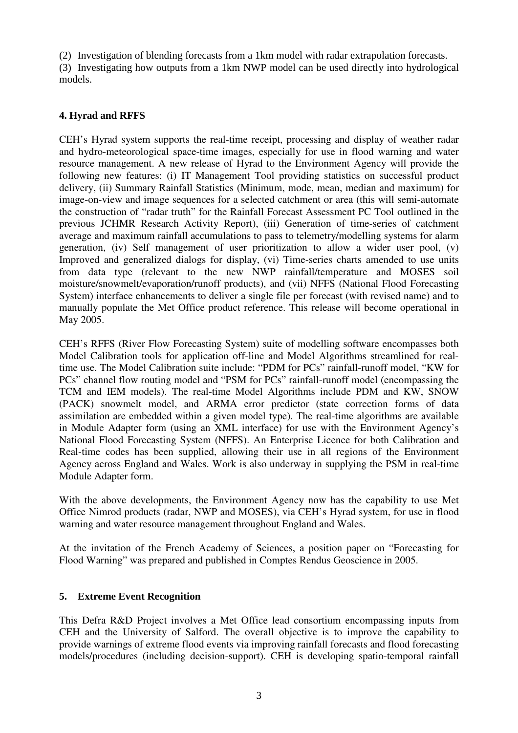(2) Investigation of blending forecasts from a 1km model with radar extrapolation forecasts. (3) Investigating how outputs from a 1km NWP model can be used directly into hydrological models.

## **4. Hyrad and RFFS**

CEH's Hyrad system supports the real-time receipt, processing and display of weather radar and hydro-meteorological space-time images, especially for use in flood warning and water resource management. A new release of Hyrad to the Environment Agency will provide the following new features: (i) IT Management Tool providing statistics on successful product delivery, (ii) Summary Rainfall Statistics (Minimum, mode, mean, median and maximum) for image-on-view and image sequences for a selected catchment or area (this will semi-automate the construction of "radar truth" for the Rainfall Forecast Assessment PC Tool outlined in the previous JCHMR Research Activity Report), (iii) Generation of time-series of catchment average and maximum rainfall accumulations to pass to telemetry/modelling systems for alarm generation, (iv) Self management of user prioritization to allow a wider user pool, (v) Improved and generalized dialogs for display, (vi) Time-series charts amended to use units from data type (relevant to the new NWP rainfall/temperature and MOSES soil moisture/snowmelt/evaporation/runoff products), and (vii) NFFS (National Flood Forecasting System) interface enhancements to deliver a single file per forecast (with revised name) and to manually populate the Met Office product reference. This release will become operational in May 2005.

CEH's RFFS (River Flow Forecasting System) suite of modelling software encompasses both Model Calibration tools for application off-line and Model Algorithms streamlined for realtime use. The Model Calibration suite include: "PDM for PCs" rainfall-runoff model, "KW for PCs" channel flow routing model and "PSM for PCs" rainfall-runoff model (encompassing the TCM and IEM models). The real-time Model Algorithms include PDM and KW, SNOW (PACK) snowmelt model, and ARMA error predictor (state correction forms of data assimilation are embedded within a given model type). The real-time algorithms are available in Module Adapter form (using an XML interface) for use with the Environment Agency's National Flood Forecasting System (NFFS). An Enterprise Licence for both Calibration and Real-time codes has been supplied, allowing their use in all regions of the Environment Agency across England and Wales. Work is also underway in supplying the PSM in real-time Module Adapter form.

With the above developments, the Environment Agency now has the capability to use Met Office Nimrod products (radar, NWP and MOSES), via CEH's Hyrad system, for use in flood warning and water resource management throughout England and Wales.

At the invitation of the French Academy of Sciences, a position paper on "Forecasting for Flood Warning" was prepared and published in Comptes Rendus Geoscience in 2005.

# **5. Extreme Event Recognition**

This Defra R&D Project involves a Met Office lead consortium encompassing inputs from CEH and the University of Salford. The overall objective is to improve the capability to provide warnings of extreme flood events via improving rainfall forecasts and flood forecasting models/procedures (including decision-support). CEH is developing spatio-temporal rainfall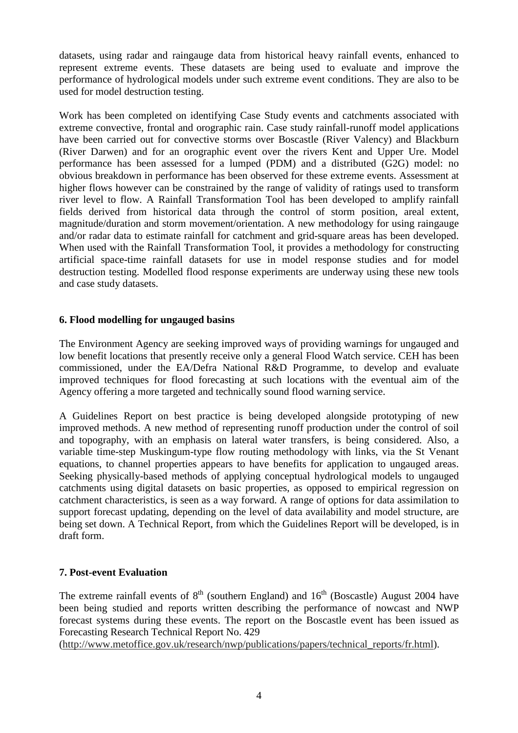datasets, using radar and raingauge data from historical heavy rainfall events, enhanced to represent extreme events. These datasets are being used to evaluate and improve the performance of hydrological models under such extreme event conditions. They are also to be used for model destruction testing.

Work has been completed on identifying Case Study events and catchments associated with extreme convective, frontal and orographic rain. Case study rainfall-runoff model applications have been carried out for convective storms over Boscastle (River Valency) and Blackburn (River Darwen) and for an orographic event over the rivers Kent and Upper Ure. Model performance has been assessed for a lumped (PDM) and a distributed (G2G) model: no obvious breakdown in performance has been observed for these extreme events. Assessment at higher flows however can be constrained by the range of validity of ratings used to transform river level to flow. A Rainfall Transformation Tool has been developed to amplify rainfall fields derived from historical data through the control of storm position, areal extent, magnitude/duration and storm movement/orientation. A new methodology for using raingauge and/or radar data to estimate rainfall for catchment and grid-square areas has been developed. When used with the Rainfall Transformation Tool, it provides a methodology for constructing artificial space-time rainfall datasets for use in model response studies and for model destruction testing. Modelled flood response experiments are underway using these new tools and case study datasets.

#### **6. Flood modelling for ungauged basins**

The Environment Agency are seeking improved ways of providing warnings for ungauged and low benefit locations that presently receive only a general Flood Watch service. CEH has been commissioned, under the EA/Defra National R&D Programme, to develop and evaluate improved techniques for flood forecasting at such locations with the eventual aim of the Agency offering a more targeted and technically sound flood warning service.

A Guidelines Report on best practice is being developed alongside prototyping of new improved methods. A new method of representing runoff production under the control of soil and topography, with an emphasis on lateral water transfers, is being considered. Also, a variable time-step Muskingum-type flow routing methodology with links, via the St Venant equations, to channel properties appears to have benefits for application to ungauged areas. Seeking physically-based methods of applying conceptual hydrological models to ungauged catchments using digital datasets on basic properties, as opposed to empirical regression on catchment characteristics, is seen as a way forward. A range of options for data assimilation to support forecast updating, depending on the level of data availability and model structure, are being set down. A Technical Report, from which the Guidelines Report will be developed, is in draft form.

# **7. Post-event Evaluation**

The extreme rainfall events of  $8<sup>th</sup>$  (southern England) and  $16<sup>th</sup>$  (Boscastle) August 2004 have been being studied and reports written describing the performance of nowcast and NWP forecast systems during these events. The report on the Boscastle event has been issued as Forecasting Research Technical Report No. 429

(http://www.metoffice.gov.uk/research/nwp/publications/papers/technical\_reports/fr.html).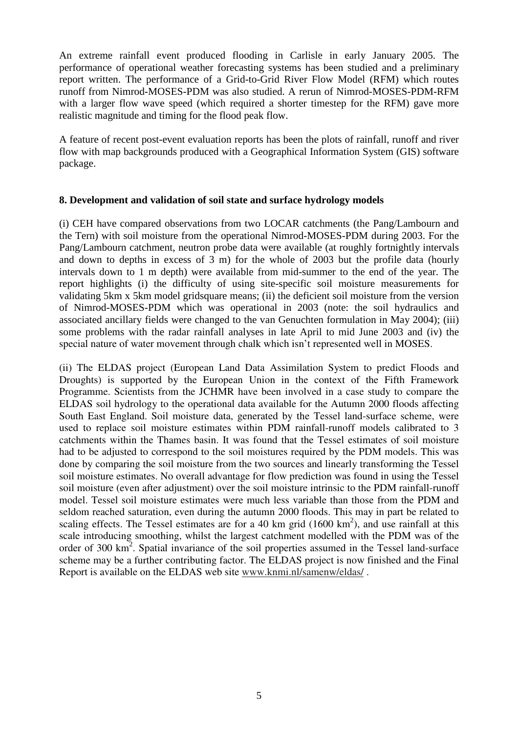An extreme rainfall event produced flooding in Carlisle in early January 2005. The performance of operational weather forecasting systems has been studied and a preliminary report written. The performance of a Grid-to-Grid River Flow Model (RFM) which routes runoff from Nimrod-MOSES-PDM was also studied. A rerun of Nimrod-MOSES-PDM-RFM with a larger flow wave speed (which required a shorter timestep for the RFM) gave more realistic magnitude and timing for the flood peak flow.

A feature of recent post-event evaluation reports has been the plots of rainfall, runoff and river flow with map backgrounds produced with a Geographical Information System (GIS) software package.

# **8. Development and validation of soil state and surface hydrology models**

(i) CEH have compared observations from two LOCAR catchments (the Pang/Lambourn and the Tern) with soil moisture from the operational Nimrod-MOSES-PDM during 2003. For the Pang/Lambourn catchment, neutron probe data were available (at roughly fortnightly intervals and down to depths in excess of 3 m) for the whole of 2003 but the profile data (hourly intervals down to 1 m depth) were available from mid-summer to the end of the year. The report highlights (i) the difficulty of using site-specific soil moisture measurements for validating 5km x 5km model gridsquare means; (ii) the deficient soil moisture from the version of Nimrod-MOSES-PDM which was operational in 2003 (note: the soil hydraulics and associated ancillary fields were changed to the van Genuchten formulation in May 2004); (iii) some problems with the radar rainfall analyses in late April to mid June 2003 and (iv) the special nature of water movement through chalk which isn't represented well in MOSES.

(ii) The ELDAS project (European Land Data Assimilation System to predict Floods and Droughts) is supported by the European Union in the context of the Fifth Framework Programme. Scientists from the JCHMR have been involved in a case study to compare the ELDAS soil hydrology to the operational data available for the Autumn 2000 floods affecting South East England. Soil moisture data, generated by the Tessel land-surface scheme, were used to replace soil moisture estimates within PDM rainfall-runoff models calibrated to 3 catchments within the Thames basin. It was found that the Tessel estimates of soil moisture had to be adjusted to correspond to the soil moistures required by the PDM models. This was done by comparing the soil moisture from the two sources and linearly transforming the Tessel soil moisture estimates. No overall advantage for flow prediction was found in using the Tessel soil moisture (even after adjustment) over the soil moisture intrinsic to the PDM rainfall-runoff model. Tessel soil moisture estimates were much less variable than those from the PDM and seldom reached saturation, even during the autumn 2000 floods. This may in part be related to scaling effects. The Tessel estimates are for a 40 km grid  $(1600 \text{ km}^2)$ , and use rainfall at this scale introducing smoothing, whilst the largest catchment modelled with the PDM was of the order of 300  $\text{km}^2$ . Spatial invariance of the soil properties assumed in the Tessel land-surface scheme may be a further contributing factor. The ELDAS project is now finished and the Final Report is available on the ELDAS web site www.knmi.nl/samenw/eldas/ .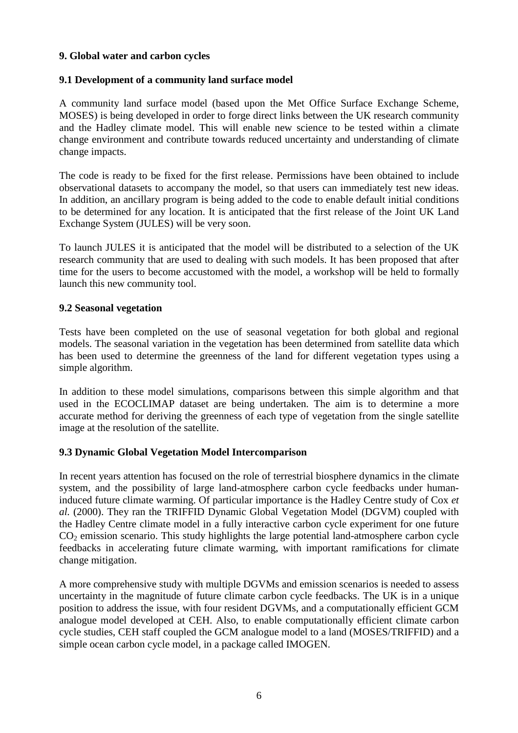#### **9. Global water and carbon cycles**

## **9.1 Development of a community land surface model**

A community land surface model (based upon the Met Office Surface Exchange Scheme, MOSES) is being developed in order to forge direct links between the UK research community and the Hadley climate model. This will enable new science to be tested within a climate change environment and contribute towards reduced uncertainty and understanding of climate change impacts.

The code is ready to be fixed for the first release. Permissions have been obtained to include observational datasets to accompany the model, so that users can immediately test new ideas. In addition, an ancillary program is being added to the code to enable default initial conditions to be determined for any location. It is anticipated that the first release of the Joint UK Land Exchange System (JULES) will be very soon.

To launch JULES it is anticipated that the model will be distributed to a selection of the UK research community that are used to dealing with such models. It has been proposed that after time for the users to become accustomed with the model, a workshop will be held to formally launch this new community tool.

#### **9.2 Seasonal vegetation**

Tests have been completed on the use of seasonal vegetation for both global and regional models. The seasonal variation in the vegetation has been determined from satellite data which has been used to determine the greenness of the land for different vegetation types using a simple algorithm.

In addition to these model simulations, comparisons between this simple algorithm and that used in the ECOCLIMAP dataset are being undertaken. The aim is to determine a more accurate method for deriving the greenness of each type of vegetation from the single satellite image at the resolution of the satellite.

#### **9.3 Dynamic Global Vegetation Model Intercomparison**

In recent years attention has focused on the role of terrestrial biosphere dynamics in the climate system, and the possibility of large land-atmosphere carbon cycle feedbacks under humaninduced future climate warming. Of particular importance is the Hadley Centre study of Cox *et al.* (2000). They ran the TRIFFID Dynamic Global Vegetation Model (DGVM) coupled with the Hadley Centre climate model in a fully interactive carbon cycle experiment for one future  $CO<sub>2</sub>$  emission scenario. This study highlights the large potential land-atmosphere carbon cycle feedbacks in accelerating future climate warming, with important ramifications for climate change mitigation.

A more comprehensive study with multiple DGVMs and emission scenarios is needed to assess uncertainty in the magnitude of future climate carbon cycle feedbacks. The UK is in a unique position to address the issue, with four resident DGVMs, and a computationally efficient GCM analogue model developed at CEH. Also, to enable computationally efficient climate carbon cycle studies, CEH staff coupled the GCM analogue model to a land (MOSES/TRIFFID) and a simple ocean carbon cycle model, in a package called IMOGEN.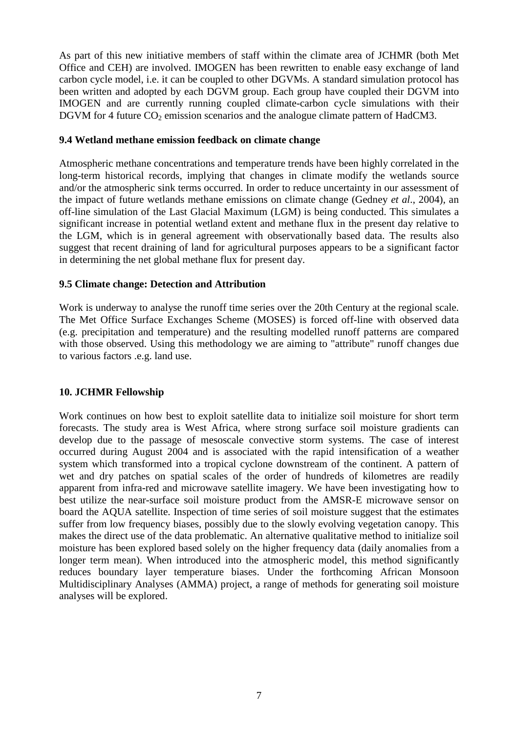As part of this new initiative members of staff within the climate area of JCHMR (both Met Office and CEH) are involved. IMOGEN has been rewritten to enable easy exchange of land carbon cycle model, i.e. it can be coupled to other DGVMs. A standard simulation protocol has been written and adopted by each DGVM group. Each group have coupled their DGVM into IMOGEN and are currently running coupled climate-carbon cycle simulations with their DGVM for 4 future  $CO<sub>2</sub>$  emission scenarios and the analogue climate pattern of HadCM3.

## **9.4 Wetland methane emission feedback on climate change**

Atmospheric methane concentrations and temperature trends have been highly correlated in the long-term historical records, implying that changes in climate modify the wetlands source and/or the atmospheric sink terms occurred. In order to reduce uncertainty in our assessment of the impact of future wetlands methane emissions on climate change (Gedney *et al*., 2004), an off-line simulation of the Last Glacial Maximum (LGM) is being conducted. This simulates a significant increase in potential wetland extent and methane flux in the present day relative to the LGM, which is in general agreement with observationally based data. The results also suggest that recent draining of land for agricultural purposes appears to be a significant factor in determining the net global methane flux for present day.

# **9.5 Climate change: Detection and Attribution**

Work is underway to analyse the runoff time series over the 20th Century at the regional scale. The Met Office Surface Exchanges Scheme (MOSES) is forced off-line with observed data (e.g. precipitation and temperature) and the resulting modelled runoff patterns are compared with those observed. Using this methodology we are aiming to "attribute" runoff changes due to various factors .e.g. land use.

# **10. JCHMR Fellowship**

Work continues on how best to exploit satellite data to initialize soil moisture for short term forecasts. The study area is West Africa, where strong surface soil moisture gradients can develop due to the passage of mesoscale convective storm systems. The case of interest occurred during August 2004 and is associated with the rapid intensification of a weather system which transformed into a tropical cyclone downstream of the continent. A pattern of wet and dry patches on spatial scales of the order of hundreds of kilometres are readily apparent from infra-red and microwave satellite imagery. We have been investigating how to best utilize the near-surface soil moisture product from the AMSR-E microwave sensor on board the AQUA satellite. Inspection of time series of soil moisture suggest that the estimates suffer from low frequency biases, possibly due to the slowly evolving vegetation canopy. This makes the direct use of the data problematic. An alternative qualitative method to initialize soil moisture has been explored based solely on the higher frequency data (daily anomalies from a longer term mean). When introduced into the atmospheric model, this method significantly reduces boundary layer temperature biases. Under the forthcoming African Monsoon Multidisciplinary Analyses (AMMA) project, a range of methods for generating soil moisture analyses will be explored.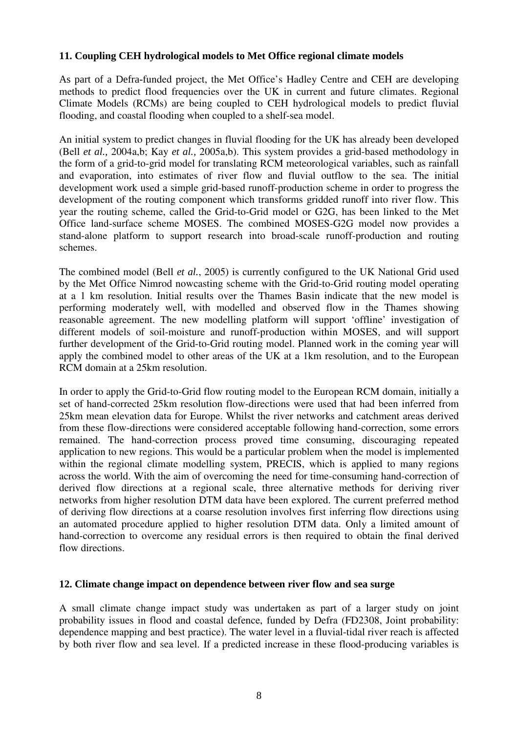#### **11. Coupling CEH hydrological models to Met Office regional climate models**

As part of a Defra-funded project, the Met Office's Hadley Centre and CEH are developing methods to predict flood frequencies over the UK in current and future climates. Regional Climate Models (RCMs) are being coupled to CEH hydrological models to predict fluvial flooding, and coastal flooding when coupled to a shelf-sea model.

An initial system to predict changes in fluvial flooding for the UK has already been developed (Bell *et al.,* 2004a,b; Kay *et al.,* 2005a,b). This system provides a grid-based methodology in the form of a grid-to-grid model for translating RCM meteorological variables, such as rainfall and evaporation, into estimates of river flow and fluvial outflow to the sea. The initial development work used a simple grid-based runoff-production scheme in order to progress the development of the routing component which transforms gridded runoff into river flow. This year the routing scheme, called the Grid-to-Grid model or G2G, has been linked to the Met Office land-surface scheme MOSES. The combined MOSES-G2G model now provides a stand-alone platform to support research into broad-scale runoff-production and routing schemes.

The combined model (Bell *et al.*, 2005) is currently configured to the UK National Grid used by the Met Office Nimrod nowcasting scheme with the Grid-to-Grid routing model operating at a 1 km resolution. Initial results over the Thames Basin indicate that the new model is performing moderately well, with modelled and observed flow in the Thames showing reasonable agreement. The new modelling platform will support 'offline' investigation of different models of soil-moisture and runoff-production within MOSES, and will support further development of the Grid-to-Grid routing model. Planned work in the coming year will apply the combined model to other areas of the UK at a 1km resolution, and to the European RCM domain at a 25km resolution.

In order to apply the Grid-to-Grid flow routing model to the European RCM domain, initially a set of hand-corrected 25km resolution flow-directions were used that had been inferred from 25km mean elevation data for Europe. Whilst the river networks and catchment areas derived from these flow-directions were considered acceptable following hand-correction, some errors remained. The hand-correction process proved time consuming, discouraging repeated application to new regions. This would be a particular problem when the model is implemented within the regional climate modelling system, PRECIS, which is applied to many regions across the world. With the aim of overcoming the need for time-consuming hand-correction of derived flow directions at a regional scale, three alternative methods for deriving river networks from higher resolution DTM data have been explored. The current preferred method of deriving flow directions at a coarse resolution involves first inferring flow directions using an automated procedure applied to higher resolution DTM data. Only a limited amount of hand-correction to overcome any residual errors is then required to obtain the final derived flow directions.

#### **12. Climate change impact on dependence between river flow and sea surge**

A small climate change impact study was undertaken as part of a larger study on joint probability issues in flood and coastal defence, funded by Defra (FD2308, Joint probability: dependence mapping and best practice). The water level in a fluvial-tidal river reach is affected by both river flow and sea level. If a predicted increase in these flood-producing variables is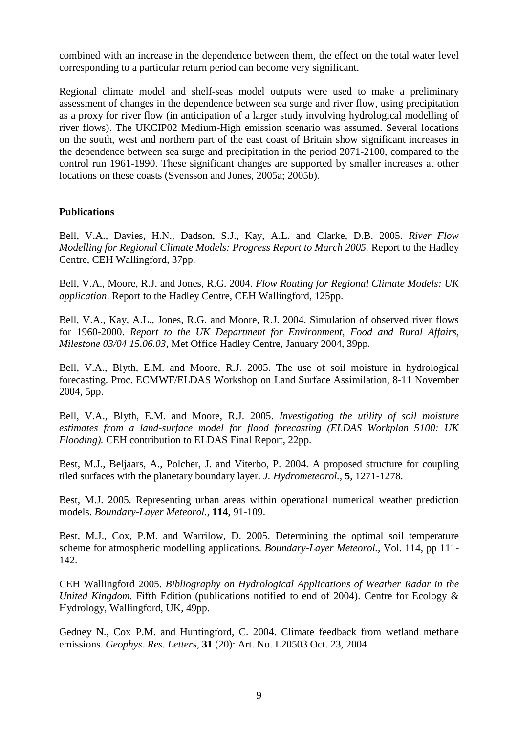combined with an increase in the dependence between them, the effect on the total water level corresponding to a particular return period can become very significant.

Regional climate model and shelf-seas model outputs were used to make a preliminary assessment of changes in the dependence between sea surge and river flow, using precipitation as a proxy for river flow (in anticipation of a larger study involving hydrological modelling of river flows). The UKCIP02 Medium-High emission scenario was assumed. Several locations on the south, west and northern part of the east coast of Britain show significant increases in the dependence between sea surge and precipitation in the period 2071-2100, compared to the control run 1961-1990. These significant changes are supported by smaller increases at other locations on these coasts (Svensson and Jones, 2005a; 2005b).

#### **Publications**

Bell, V.A., Davies, H.N., Dadson, S.J., Kay, A.L. and Clarke, D.B. 2005. *River Flow Modelling for Regional Climate Models: Progress Report to March 2005.* Report to the Hadley Centre, CEH Wallingford, 37pp.

Bell, V.A., Moore, R.J. and Jones, R.G. 2004. *Flow Routing for Regional Climate Models: UK application*. Report to the Hadley Centre, CEH Wallingford, 125pp.

Bell, V.A., Kay, A.L., Jones, R.G. and Moore, R.J. 2004. Simulation of observed river flows for 1960-2000. *Report to the UK Department for Environment, Food and Rural Affairs, Milestone 03/04 15.06.03,* Met Office Hadley Centre, January 2004, 39pp*.* 

Bell, V.A., Blyth, E.M. and Moore, R.J. 2005. The use of soil moisture in hydrological forecasting. Proc. ECMWF/ELDAS Workshop on Land Surface Assimilation, 8-11 November 2004, 5pp.

Bell, V.A., Blyth, E.M. and Moore, R.J. 2005. *Investigating the utility of soil moisture estimates from a land-surface model for flood forecasting (ELDAS Workplan 5100: UK Flooding).* CEH contribution to ELDAS Final Report, 22pp.

Best, M.J., Beljaars, A., Polcher, J. and Viterbo, P. 2004. A proposed structure for coupling tiled surfaces with the planetary boundary layer. *J. Hydrometeorol.,* **5**, 1271-1278.

Best, M.J. 2005. Representing urban areas within operational numerical weather prediction models. *Boundary-Layer Meteorol.,* **114**, 91-109.

Best, M.J., Cox, P.M. and Warrilow, D. 2005. Determining the optimal soil temperature scheme for atmospheric modelling applications. *Boundary-Layer Meteorol.,* Vol. 114, pp 111- 142.

CEH Wallingford 2005. *Bibliography on Hydrological Applications of Weather Radar in the United Kingdom.* Fifth Edition (publications notified to end of 2004). Centre for Ecology & Hydrology, Wallingford, UK, 49pp.

Gedney N., Cox P.M. and Huntingford, C. 2004. Climate feedback from wetland methane emissions. *Geophys. Res. Letters,* **31** (20): Art. No. L20503 Oct. 23, 2004